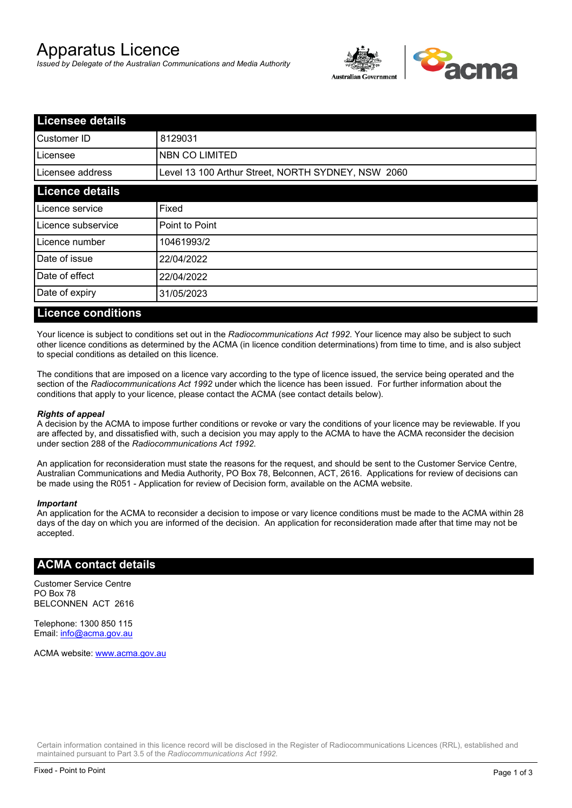# Apparatus Licence

*Issued by Delegate of the Australian Communications and Media Authority*



| <b>Licensee details</b> |                                                    |  |  |
|-------------------------|----------------------------------------------------|--|--|
| Customer ID             | 8129031                                            |  |  |
| ILicensee               | <b>NBN CO LIMITED</b>                              |  |  |
| Licensee address        | Level 13 100 Arthur Street, NORTH SYDNEY, NSW 2060 |  |  |
| <b>Licence details</b>  |                                                    |  |  |
| Licence service         | Fixed                                              |  |  |
| Licence subservice      | Point to Point                                     |  |  |
| Licence number          | 10461993/2                                         |  |  |
| Date of issue           | 22/04/2022                                         |  |  |
| Date of effect          | 22/04/2022                                         |  |  |
| Date of expiry          | 31/05/2023                                         |  |  |
|                         |                                                    |  |  |

#### **Licence conditions**

Your licence is subject to conditions set out in the *Radiocommunications Act 1992*. Your licence may also be subject to such other licence conditions as determined by the ACMA (in licence condition determinations) from time to time, and is also subject to special conditions as detailed on this licence.

The conditions that are imposed on a licence vary according to the type of licence issued, the service being operated and the section of the *Radiocommunications Act 1992* under which the licence has been issued. For further information about the conditions that apply to your licence, please contact the ACMA (see contact details below).

#### *Rights of appeal*

A decision by the ACMA to impose further conditions or revoke or vary the conditions of your licence may be reviewable. If you are affected by, and dissatisfied with, such a decision you may apply to the ACMA to have the ACMA reconsider the decision under section 288 of the *Radiocommunications Act 1992*.

An application for reconsideration must state the reasons for the request, and should be sent to the Customer Service Centre, Australian Communications and Media Authority, PO Box 78, Belconnen, ACT, 2616. Applications for review of decisions can be made using the R051 - Application for review of Decision form, available on the ACMA website.

#### *Important*

An application for the ACMA to reconsider a decision to impose or vary licence conditions must be made to the ACMA within 28 days of the day on which you are informed of the decision. An application for reconsideration made after that time may not be accepted.

#### **ACMA contact details**

Customer Service Centre PO Box 78 BELCONNEN ACT 2616

Telephone: 1300 850 115 Email: info@acma.gov.au

ACMA website: www.acma.gov.au

Certain information contained in this licence record will be disclosed in the Register of Radiocommunications Licences (RRL), established and maintained pursuant to Part 3.5 of the *Radiocommunications Act 1992.*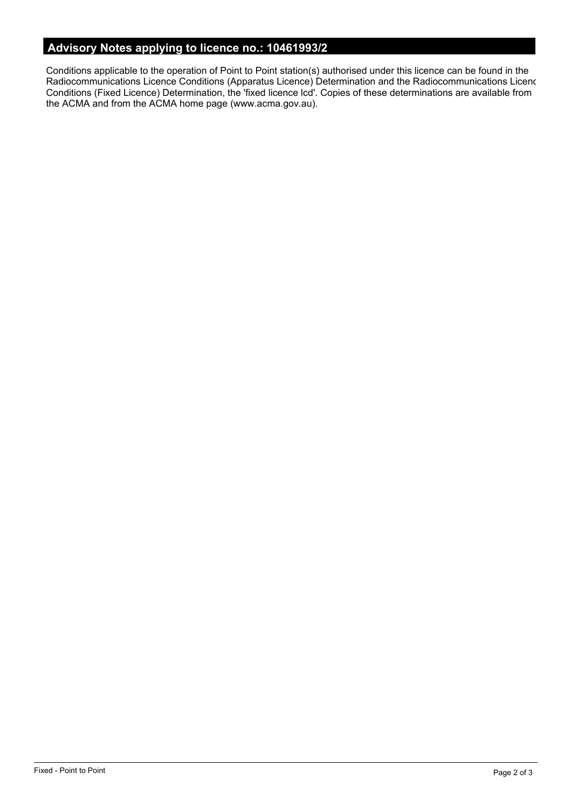# **Advisory Notes applying to licence no.: 10461993/2**

Conditions applicable to the operation of Point to Point station(s) authorised under this licence can be found in the Radiocommunications Licence Conditions (Apparatus Licence) Determination and the Radiocommunications Licence Conditions (Fixed Licence) Determination, the 'fixed licence lcd'. Copies of these determinations are available from the ACMA and from the ACMA home page (www.acma.gov.au).